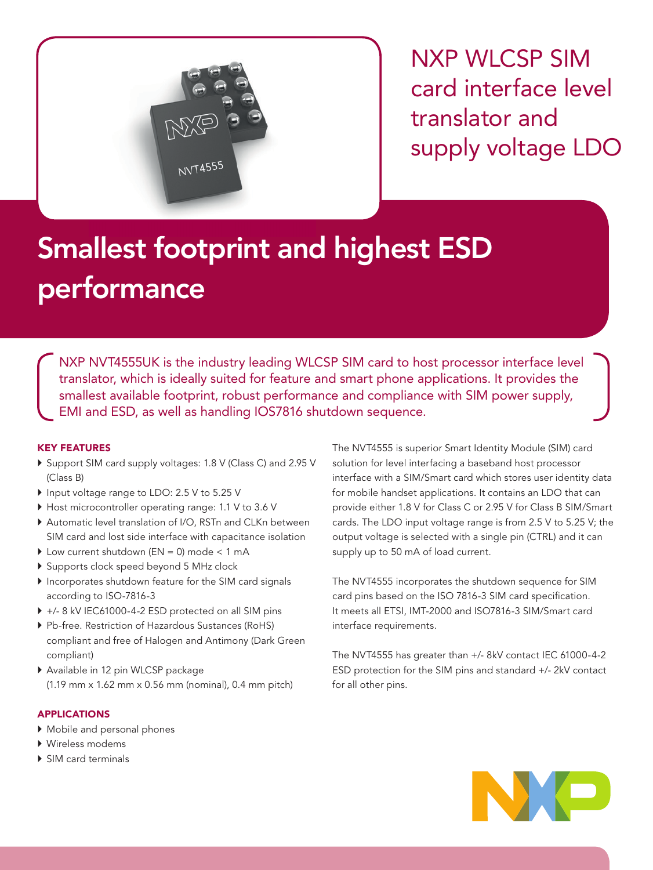

NXP WLCSP SIM card interface level translator and supply voltage LDO

# Smallest footprint and highest ESD performance

NXP NVT4555UK is the industry leading WLCSP SIM card to host processor interface level translator, which is ideally suited for feature and smart phone applications. It provides the smallest available footprint, robust performance and compliance with SIM power supply, EMI and ESD, as well as handling IOS7816 shutdown sequence.

## KEY FEATURES

- ` Support SIM card supply voltages: 1.8 V (Class C) and 2.95 V (Class B)
- ▶ Input voltage range to LDO: 2.5 V to 5.25 V
- $\blacktriangleright$  Host microcontroller operating range: 1.1 V to 3.6 V
- $\blacktriangleright$  Automatic level translation of I/O, RSTn and CLKn between SIM card and lost side interface with capacitance isolation
- $\blacktriangleright$  Low current shutdown (EN = 0) mode < 1 mA
- ` Supports clock speed beyond 5 MHz clock
- ` Incorporates shutdown feature for the SIM card signals according to ISO-7816-3
- ▶ +/- 8 kV IEC61000-4-2 ESD protected on all SIM pins
- ` Pb-free. Restriction of Hazardous Sustances (RoHS) compliant and free of Halogen and Antimony (Dark Green compliant)
- ` Available in 12 pin WLCSP package (1.19 mm x 1.62 mm x 0.56 mm (nominal), 0.4 mm pitch)

## APPLICATIONS

- $\blacktriangleright$  Mobile and personal phones
- ▶ Wireless modems
- ▶ SIM card terminals

The NVT4555 is superior Smart Identity Module (SIM) card solution for level interfacing a baseband host processor interface with a SIM/Smart card which stores user identity data for mobile handset applications. It contains an LDO that can provide either 1.8 V for Class C or 2.95 V for Class B SIM/Smart cards. The LDO input voltage range is from 2.5 V to 5.25 V; the output voltage is selected with a single pin (CTRL) and it can supply up to 50 mA of load current.

The NVT4555 incorporates the shutdown sequence for SIM card pins based on the ISO 7816-3 SIM card specification. It meets all ETSI, IMT-2000 and ISO7816-3 SIM/Smart card interface requirements.

The NVT4555 has greater than +/- 8kV contact IEC 61000-4-2 ESD protection for the SIM pins and standard +/- 2kV contact for all other pins.